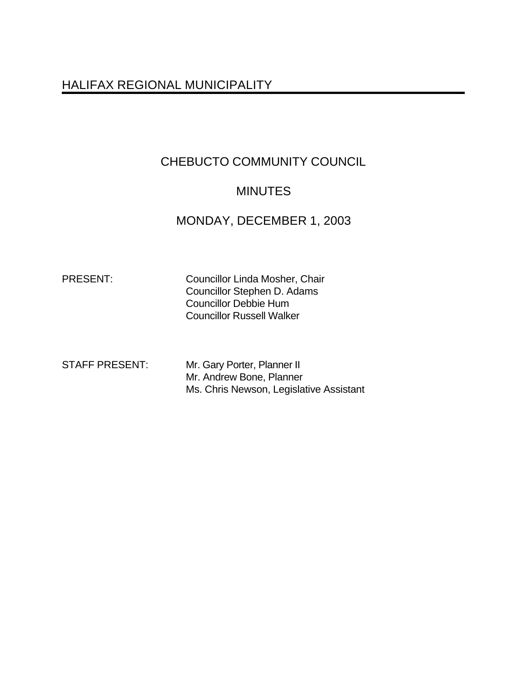# HALIFAX REGIONAL MUNICIPALITY

# CHEBUCTO COMMUNITY COUNCIL

# **MINUTES**

# MONDAY, DECEMBER 1, 2003

PRESENT: Councillor Linda Mosher, Chair Councillor Stephen D. Adams Councillor Debbie Hum Councillor Russell Walker

| <b>STAFF PRESENT:</b> | Mr. Gary Porter, Planner II             |
|-----------------------|-----------------------------------------|
|                       | Mr. Andrew Bone, Planner                |
|                       | Ms. Chris Newson, Legislative Assistant |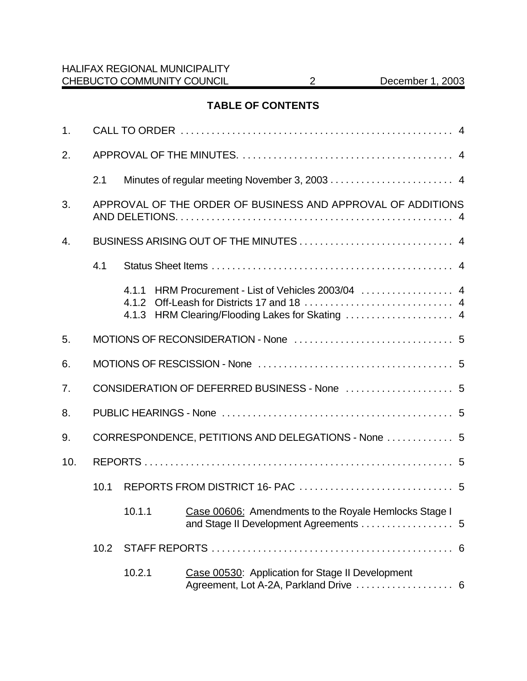# **TABLE OF CONTENTS**

| 1.               |                                                     |                                                             |                                                                                            |  |  |  |
|------------------|-----------------------------------------------------|-------------------------------------------------------------|--------------------------------------------------------------------------------------------|--|--|--|
| 2.               |                                                     |                                                             |                                                                                            |  |  |  |
|                  | 2.1                                                 |                                                             |                                                                                            |  |  |  |
| 3.               |                                                     | APPROVAL OF THE ORDER OF BUSINESS AND APPROVAL OF ADDITIONS |                                                                                            |  |  |  |
| $\overline{4}$ . |                                                     |                                                             |                                                                                            |  |  |  |
|                  | 4.1                                                 |                                                             |                                                                                            |  |  |  |
|                  |                                                     |                                                             | 4.1.1 HRM Procurement - List of Vehicles 2003/04  4                                        |  |  |  |
| 5.               |                                                     |                                                             |                                                                                            |  |  |  |
| 6.               |                                                     |                                                             |                                                                                            |  |  |  |
| 7.               |                                                     |                                                             |                                                                                            |  |  |  |
| 8.               |                                                     |                                                             |                                                                                            |  |  |  |
| 9.               | CORRESPONDENCE, PETITIONS AND DELEGATIONS - None  5 |                                                             |                                                                                            |  |  |  |
| 10.              |                                                     |                                                             |                                                                                            |  |  |  |
|                  | 10.1                                                |                                                             |                                                                                            |  |  |  |
|                  |                                                     |                                                             | 10.1.1 Case 00606: Amendments to the Royale Hemlocks Stage I                               |  |  |  |
|                  | 10.2                                                |                                                             |                                                                                            |  |  |  |
|                  |                                                     | 10.2.1                                                      | Case 00530: Application for Stage II Development<br>Agreement, Lot A-2A, Parkland Drive  6 |  |  |  |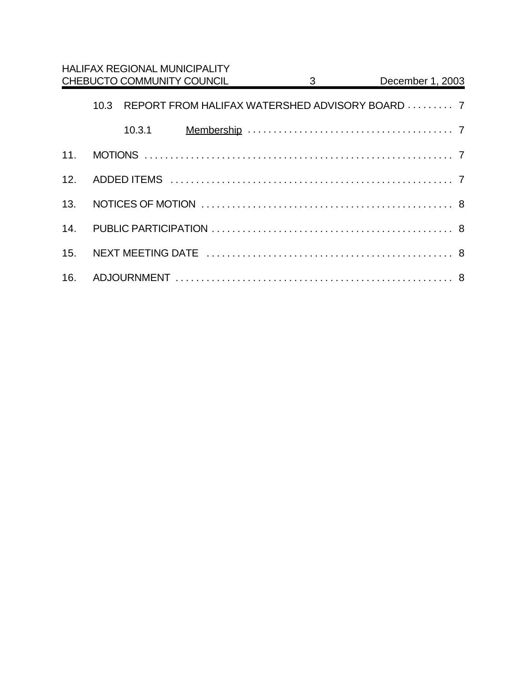|     |      | <b>HALIFAX REGIONAL MUNICIPALITY</b> |  |                           |                                                 |  |  |
|-----|------|--------------------------------------|--|---------------------------|-------------------------------------------------|--|--|
|     |      | CHEBUCTO COMMUNITY COUNCIL           |  | $3 \quad \text{or} \quad$ | December 1, 2003                                |  |  |
|     | 10.3 |                                      |  |                           | REPORT FROM HALIFAX WATERSHED ADVISORY BOARD  7 |  |  |
|     |      | 10.3.1                               |  |                           |                                                 |  |  |
| 11. |      |                                      |  |                           |                                                 |  |  |
| 12. |      |                                      |  |                           |                                                 |  |  |
| 13. |      |                                      |  |                           |                                                 |  |  |
| 14. |      |                                      |  |                           |                                                 |  |  |
| 15. |      |                                      |  |                           |                                                 |  |  |
| 16. |      |                                      |  |                           |                                                 |  |  |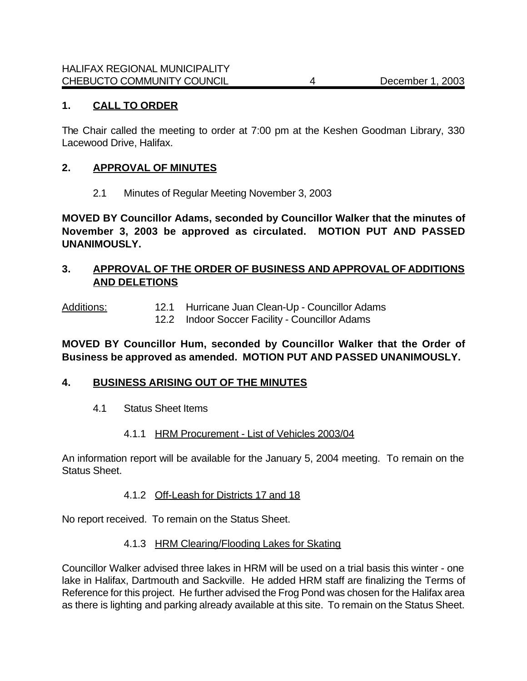## **1. CALL TO ORDER**

The Chair called the meeting to order at 7:00 pm at the Keshen Goodman Library, 330 Lacewood Drive, Halifax.

#### **2. APPROVAL OF MINUTES**

2.1 Minutes of Regular Meeting November 3, 2003

**MOVED BY Councillor Adams, seconded by Councillor Walker that the minutes of November 3, 2003 be approved as circulated. MOTION PUT AND PASSED UNANIMOUSLY.**

### **3. APPROVAL OF THE ORDER OF BUSINESS AND APPROVAL OF ADDITIONS AND DELETIONS**

Additions: 12.1 Hurricane Juan Clean-Up - Councillor Adams

12.2 Indoor Soccer Facility - Councillor Adams

### **MOVED BY Councillor Hum, seconded by Councillor Walker that the Order of Business be approved as amended. MOTION PUT AND PASSED UNANIMOUSLY.**

#### **4. BUSINESS ARISING OUT OF THE MINUTES**

4.1 Status Sheet Items

#### 4.1.1 HRM Procurement - List of Vehicles 2003/04

An information report will be available for the January 5, 2004 meeting. To remain on the Status Sheet.

#### 4.1.2 Off-Leash for Districts 17 and 18

No report received. To remain on the Status Sheet.

#### 4.1.3 HRM Clearing/Flooding Lakes for Skating

Councillor Walker advised three lakes in HRM will be used on a trial basis this winter - one lake in Halifax, Dartmouth and Sackville. He added HRM staff are finalizing the Terms of Reference for this project. He further advised the Frog Pond was chosen for the Halifax area as there is lighting and parking already available at this site. To remain on the Status Sheet.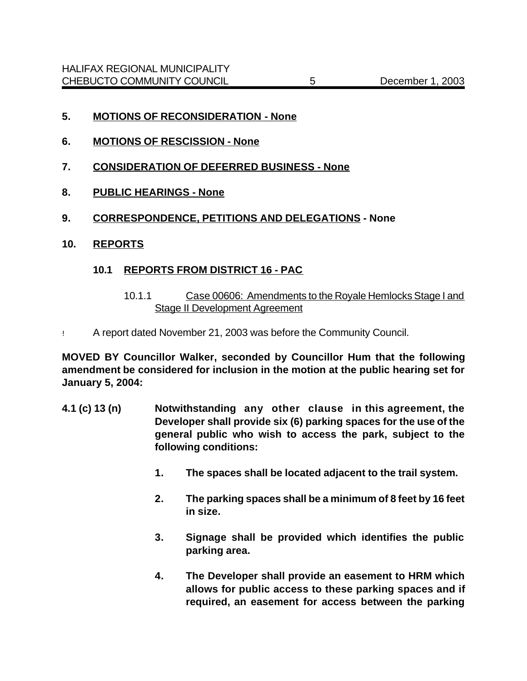- **5. MOTIONS OF RECONSIDERATION None**
- **6. MOTIONS OF RESCISSION None**
- **7. CONSIDERATION OF DEFERRED BUSINESS None**
- **8. PUBLIC HEARINGS None**
- **9. CORRESPONDENCE, PETITIONS AND DELEGATIONS None**
- **10. REPORTS**

### **10.1 REPORTS FROM DISTRICT 16 - PAC**

- 10.1.1 Case 00606: Amendments to the Royale Hemlocks Stage I and Stage II Development Agreement
- ! A report dated November 21, 2003 was before the Community Council.

**MOVED BY Councillor Walker, seconded by Councillor Hum that the following amendment be considered for inclusion in the motion at the public hearing set for January 5, 2004:** 

- **4.1 (c) 13 (n) Notwithstanding any other clause in this agreement, the Developer shall provide six (6) parking spaces for the use of the general public who wish to access the park, subject to the following conditions:**
	- **1. The spaces shall be located adjacent to the trail system.**
	- **2. The parking spaces shall be a minimum of 8 feet by 16 feet in size.**
	- **3. Signage shall be provided which identifies the public parking area.**
	- **4. The Developer shall provide an easement to HRM which allows for public access to these parking spaces and if required, an easement for access between the parking**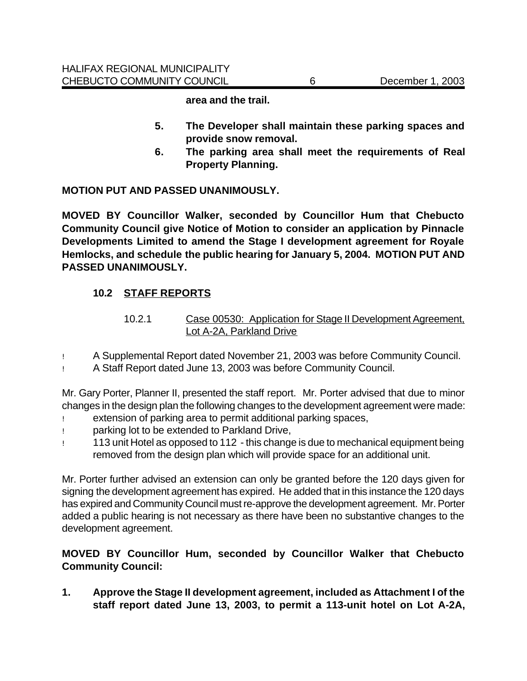**area and the trail.**

- **5. The Developer shall maintain these parking spaces and provide snow removal.**
- **6. The parking area shall meet the requirements of Real Property Planning.**

### **MOTION PUT AND PASSED UNANIMOUSLY.**

**MOVED BY Councillor Walker, seconded by Councillor Hum that Chebucto Community Council give Notice of Motion to consider an application by Pinnacle Developments Limited to amend the Stage I development agreement for Royale Hemlocks, and schedule the public hearing for January 5, 2004. MOTION PUT AND PASSED UNANIMOUSLY.**

# **10.2 STAFF REPORTS**

- 10.2.1 Case 00530: Application for Stage II Development Agreement, Lot A-2A, Parkland Drive
- ! A Supplemental Report dated November 21, 2003 was before Community Council.
- ! A Staff Report dated June 13, 2003 was before Community Council.

Mr. Gary Porter, Planner II, presented the staff report.Mr. Porter advised that due to minor changes in the design plan the following changes to the development agreement were made:

- ! extension of parking area to permit additional parking spaces,
- ! parking lot to be extended to Parkland Drive,
- ! 113 unit Hotel as opposed to 112 this change is due to mechanical equipment being removed from the design plan which will provide space for an additional unit.

Mr. Porter further advised an extension can only be granted before the 120 days given for signing the development agreement has expired. He added that in this instance the 120 days has expired and Community Council must re-approve the development agreement. Mr. Porter added a public hearing is not necessary as there have been no substantive changes to the development agreement.

# **MOVED BY Councillor Hum, seconded by Councillor Walker that Chebucto Community Council:**

**1. Approve the Stage II development agreement, included as Attachment I of the staff report dated June 13, 2003, to permit a 113-unit hotel on Lot A-2A,**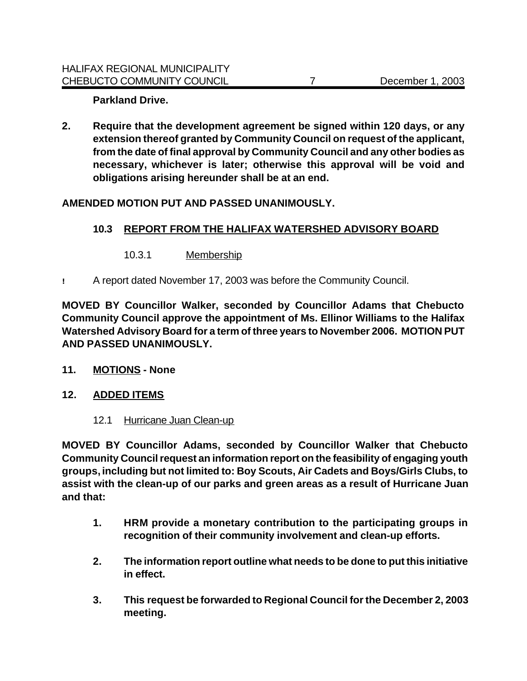**Parkland Drive.**

**2. Require that the development agreement be signed within 120 days, or any extension thereof granted by Community Council on request of the applicant, from the date of final approval by Community Council and any other bodies as necessary, whichever is later; otherwise this approval will be void and obligations arising hereunder shall be at an end.**

# **AMENDED MOTION PUT AND PASSED UNANIMOUSLY.**

### **10.3 REPORT FROM THE HALIFAX WATERSHED ADVISORY BOARD**

- 10.3.1 Membership
- **!** A report dated November 17, 2003 was before the Community Council.

**MOVED BY Councillor Walker, seconded by Councillor Adams that Chebucto Community Council approve the appointment of Ms. Ellinor Williams to the Halifax Watershed Advisory Board for a term of three years to November 2006. MOTION PUT AND PASSED UNANIMOUSLY.**

- **11. MOTIONS None**
- **12. ADDED ITEMS**
	- 12.1 Hurricane Juan Clean-up

**MOVED BY Councillor Adams, seconded by Councillor Walker that Chebucto Community Council request an information report on the feasibility of engaging youth groups, including but not limited to: Boy Scouts, Air Cadets and Boys/Girls Clubs, to assist with the clean-up of our parks and green areas as a result of Hurricane Juan and that:** 

- **1. HRM provide a monetary contribution to the participating groups in recognition of their community involvement and clean-up efforts.**
- **2. The information report outline what needs to be done to put this initiative in effect.**
- **3. This request be forwarded to Regional Council for the December 2, 2003 meeting.**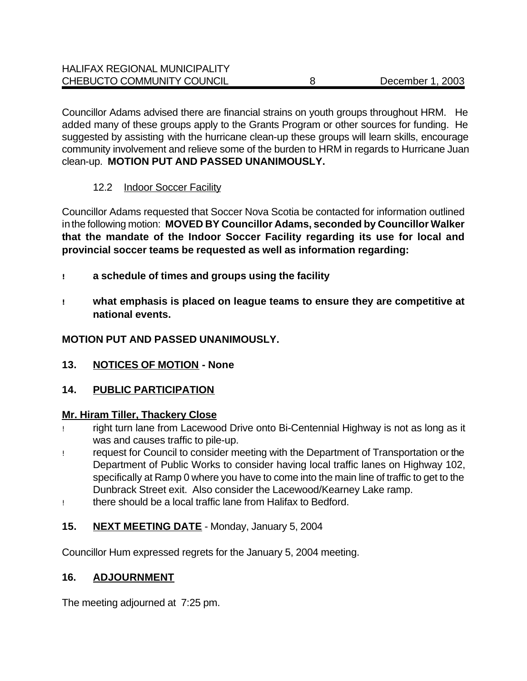Councillor Adams advised there are financial strains on youth groups throughout HRM. He added many of these groups apply to the Grants Program or other sources for funding. He suggested by assisting with the hurricane clean-up these groups will learn skills, encourage community involvement and relieve some of the burden to HRM in regards to Hurricane Juan clean-up. **MOTION PUT AND PASSED UNANIMOUSLY.**

# 12.2 Indoor Soccer Facility

Councillor Adams requested that Soccer Nova Scotia be contacted for information outlined in the following motion: **MOVED BY Councillor Adams, seconded by Councillor Walker that the mandate of the Indoor Soccer Facility regarding its use for local and provincial soccer teams be requested as well as information regarding:**

- **! a schedule of times and groups using the facility**
- **! what emphasis is placed on league teams to ensure they are competitive at national events.**

# **MOTION PUT AND PASSED UNANIMOUSLY.**

**13. NOTICES OF MOTION - None**

# **14. PUBLIC PARTICIPATION**

# **Mr. Hiram Tiller, Thackery Close**

- ! right turn lane from Lacewood Drive onto Bi-Centennial Highway is not as long as it was and causes traffic to pile-up.
- ! request for Council to consider meeting with the Department of Transportation or the Department of Public Works to consider having local traffic lanes on Highway 102, specifically at Ramp 0 where you have to come into the main line of traffic to get to the Dunbrack Street exit. Also consider the Lacewood/Kearney Lake ramp.
- ! there should be a local traffic lane from Halifax to Bedford.

# **15. NEXT MEETING DATE** - Monday, January 5, 2004

Councillor Hum expressed regrets for the January 5, 2004 meeting.

# **16. ADJOURNMENT**

The meeting adjourned at 7:25 pm.